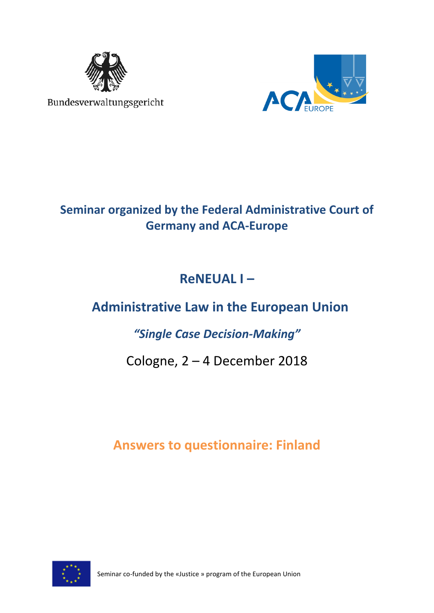

Bundesverwaltungsgericht



## **Seminar organized by the Federal Administrative Court of Germany and ACA-Europe**

## **ReNEUAL I –**

# **Administrative Law in the European Union**

## *"Single Case Decision-Making"*

## Cologne, 2 – 4 December 2018

## **Answers to questionnaire: Finland**

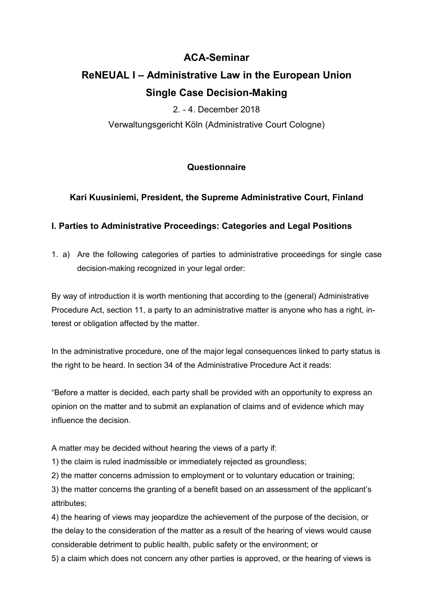## **ACA-Seminar**

## **ReNEUAL I – Administrative Law in the European Union Single Case Decision-Making**

2. - 4. December 2018

Verwaltungsgericht Köln (Administrative Court Cologne)

## **Questionnaire**

### **Kari Kuusiniemi, President, the Supreme Administrative Court, Finland**

### **I. Parties to Administrative Proceedings: Categories and Legal Positions**

1. a) Are the following categories of parties to administrative proceedings for single case decision-making recognized in your legal order:

By way of introduction it is worth mentioning that according to the (general) Administrative Procedure Act, section 11, a party to an administrative matter is anyone who has a right, interest or obligation affected by the matter.

In the administrative procedure, one of the major legal consequences linked to party status is the right to be heard. In section 34 of the Administrative Procedure Act it reads:

"Before a matter is decided, each party shall be provided with an opportunity to express an opinion on the matter and to submit an explanation of claims and of evidence which may influence the decision.

A matter may be decided without hearing the views of a party if:

1) the claim is ruled inadmissible or immediately rejected as groundless;

2) the matter concerns admission to employment or to voluntary education or training;

3) the matter concerns the granting of a benefit based on an assessment of the applicant's attributes;

4) the hearing of views may jeopardize the achievement of the purpose of the decision, or the delay to the consideration of the matter as a result of the hearing of views would cause considerable detriment to public health, public safety or the environment; or

5) a claim which does not concern any other parties is approved, or the hearing of views is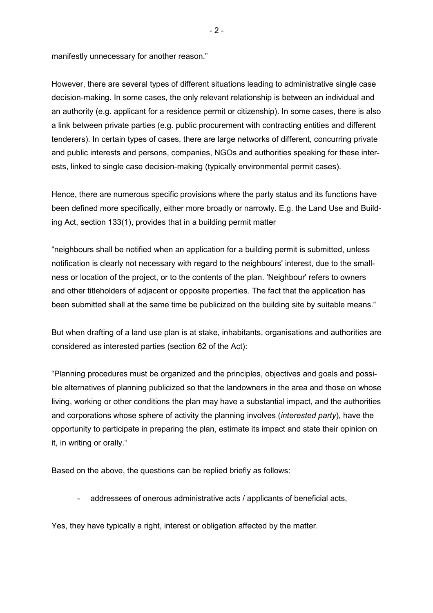manifestly unnecessary for another reason."

However, there are several types of different situations leading to administrative single case decision-making. In some cases, the only relevant relationship is between an individual and an authority (e.g. applicant for a residence permit or citizenship). In some cases, there is also a link between private parties (e.g. public procurement with contracting entities and different tenderers). In certain types of cases, there are large networks of different, concurring private and public interests and persons, companies, NGOs and authorities speaking for these interests, linked to single case decision-making (typically environmental permit cases).

Hence, there are numerous specific provisions where the party status and its functions have been defined more specifically, either more broadly or narrowly. E.g. the Land Use and Building Act, section 133(1), provides that in a building permit matter

"neighbours shall be notified when an application for a building permit is submitted, unless notification is clearly not necessary with regard to the neighbours' interest, due to the smallness or location of the project, or to the contents of the plan. 'Neighbour' refers to owners and other titleholders of adjacent or opposite properties. The fact that the application has been submitted shall at the same time be publicized on the building site by suitable means."

But when drafting of a land use plan is at stake, inhabitants, organisations and authorities are considered as interested parties (section 62 of the Act):

"Planning procedures must be organized and the principles, objectives and goals and possible alternatives of planning publicized so that the landowners in the area and those on whose living, working or other conditions the plan may have a substantial impact, and the authorities and corporations whose sphere of activity the planning involves (*interested party*), have the opportunity to participate in preparing the plan, estimate its impact and state their opinion on it, in writing or orally."

Based on the above, the questions can be replied briefly as follows:

addressees of onerous administrative acts / applicants of beneficial acts,

Yes, they have typically a right, interest or obligation affected by the matter.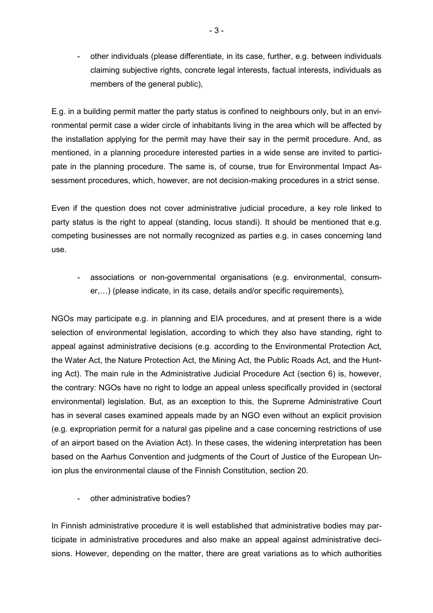- other individuals (please differentiate, in its case, further, e.g. between individuals claiming subjective rights, concrete legal interests, factual interests, individuals as members of the general public),

E.g. in a building permit matter the party status is confined to neighbours only, but in an environmental permit case a wider circle of inhabitants living in the area which will be affected by the installation applying for the permit may have their say in the permit procedure. And, as mentioned, in a planning procedure interested parties in a wide sense are invited to participate in the planning procedure. The same is, of course, true for Environmental Impact Assessment procedures, which, however, are not decision-making procedures in a strict sense.

Even if the question does not cover administrative judicial procedure, a key role linked to party status is the right to appeal (standing, locus standi). It should be mentioned that e.g. competing businesses are not normally recognized as parties e.g. in cases concerning land use.

- associations or non-governmental organisations (e.g. environmental, consumer,...) (please indicate, in its case, details and/or specific requirements),

NGOs may participate e.g. in planning and EIA procedures, and at present there is a wide selection of environmental legislation, according to which they also have standing, right to appeal against administrative decisions (e.g. according to the Environmental Protection Act, the Water Act, the Nature Protection Act, the Mining Act, the Public Roads Act, and the Hunting Act). The main rule in the Administrative Judicial Procedure Act (section 6) is, however, the contrary: NGOs have no right to lodge an appeal unless specifically provided in (sectoral environmental) legislation. But, as an exception to this, the Supreme Administrative Court has in several cases examined appeals made by an NGO even without an explicit provision (e.g. expropriation permit for a natural gas pipeline and a case concerning restrictions of use of an airport based on the Aviation Act). In these cases, the widening interpretation has been based on the Aarhus Convention and judgments of the Court of Justice of the European Union plus the environmental clause of the Finnish Constitution, section 20.

other administrative bodies?

In Finnish administrative procedure it is well established that administrative bodies may participate in administrative procedures and also make an appeal against administrative decisions. However, depending on the matter, there are great variations as to which authorities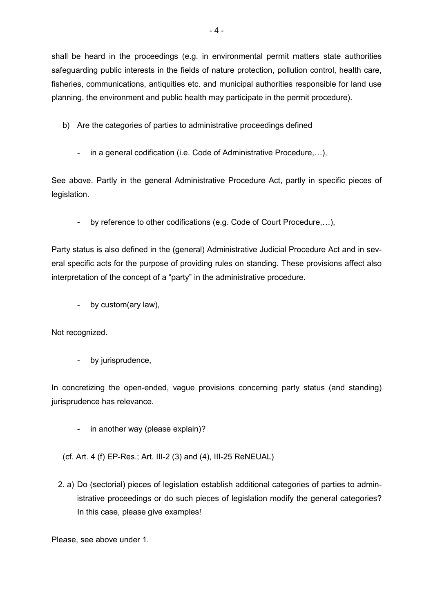shall be heard in the proceedings (e.g. in environmental permit matters state authorities safeguarding public interests in the fields of nature protection, pollution control, health care, fisheries, communications, antiquities etc. and municipal authorities responsible for land use planning, the environment and public health may participate in the permit procedure).

- b) Are the categories of parties to administrative proceedings defined
	- in a general codification (i.e. Code of Administrative Procedure,...),

See above. Partly in the general Administrative Procedure Act, partly in specific pieces of legislation.

- by reference to other codifications (e.g. Code of Court Procedure,...),

Party status is also defined in the (general) Administrative Judicial Procedure Act and in several specific acts for the purpose of providing rules on standing. These provisions affect also interpretation of the concept of a "party" in the administrative procedure.

- by custom(ary law),

Not recognized.

by jurisprudence,

In concretizing the open-ended, vague provisions concerning party status (and standing) jurisprudence has relevance.

- in another way (please explain)?

(cf. Art. 4 (f) EP-Res.; Art. III-2 (3) and (4), III-25 ReNEUAL)

2. a) Do (sectorial) pieces of legislation establish additional categories of parties to administrative proceedings or do such pieces of legislation modify the general categories? In this case, please give examples!

Please, see above under 1.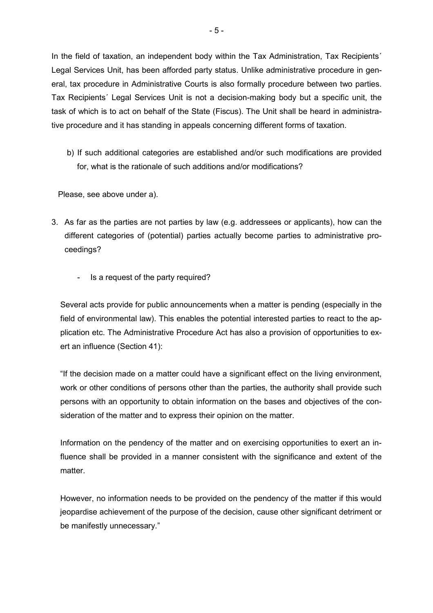In the field of taxation, an independent body within the Tax Administration, Tax Recipients' Legal Services Unit, has been afforded party status. Unlike administrative procedure in general, tax procedure in Administrative Courts is also formally procedure between two parties. Tax Recipients´ Legal Services Unit is not a decision-making body but a specific unit, the task of which is to act on behalf of the State (Fiscus). The Unit shall be heard in administrative procedure and it has standing in appeals concerning different forms of taxation.

 b) If such additional categories are established and/or such modifications are provided for, what is the rationale of such additions and/or modifications?

Please, see above under a).

- 3. As far as the parties are not parties by law (e.g. addressees or applicants), how can the different categories of (potential) parties actually become parties to administrative proceedings?
	- Is a request of the party required?

Several acts provide for public announcements when a matter is pending (especially in the field of environmental law). This enables the potential interested parties to react to the application etc. The Administrative Procedure Act has also a provision of opportunities to exert an influence (Section 41):

"If the decision made on a matter could have a significant effect on the living environment, work or other conditions of persons other than the parties, the authority shall provide such persons with an opportunity to obtain information on the bases and objectives of the consideration of the matter and to express their opinion on the matter.

Information on the pendency of the matter and on exercising opportunities to exert an influence shall be provided in a manner consistent with the significance and extent of the matter.

However, no information needs to be provided on the pendency of the matter if this would jeopardise achievement of the purpose of the decision, cause other significant detriment or be manifestly unnecessary."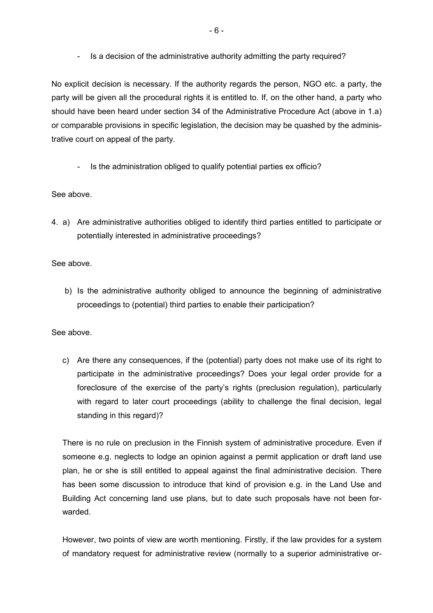- Is a decision of the administrative authority admitting the party required?

No explicit decision is necessary. If the authority regards the person, NGO etc. a party, the party will be given all the procedural rights it is entitled to. If, on the other hand, a party who should have been heard under section 34 of the Administrative Procedure Act (above in 1.a) or comparable provisions in specific legislation, the decision may be quashed by the administrative court on appeal of the party.

- Is the administration obliged to qualify potential parties ex officio?

### See above.

4. a) Are administrative authorities obliged to identify third parties entitled to participate or potentially interested in administrative proceedings?

### See above.

 b) Is the administrative authority obliged to announce the beginning of administrative proceedings to (potential) third parties to enable their participation?

#### See above.

c) Are there any consequences, if the (potential) party does not make use of its right to participate in the administrative proceedings? Does your legal order provide for a foreclosure of the exercise of the party's rights (preclusion regulation), particularly with regard to later court proceedings (ability to challenge the final decision, legal standing in this regard)?

There is no rule on preclusion in the Finnish system of administrative procedure. Even if someone e.g. neglects to lodge an opinion against a permit application or draft land use plan, he or she is still entitled to appeal against the final administrative decision. There has been some discussion to introduce that kind of provision e.g. in the Land Use and Building Act concerning land use plans, but to date such proposals have not been forwarded.

However, two points of view are worth mentioning. Firstly, if the law provides for a system of mandatory request for administrative review (normally to a superior administrative or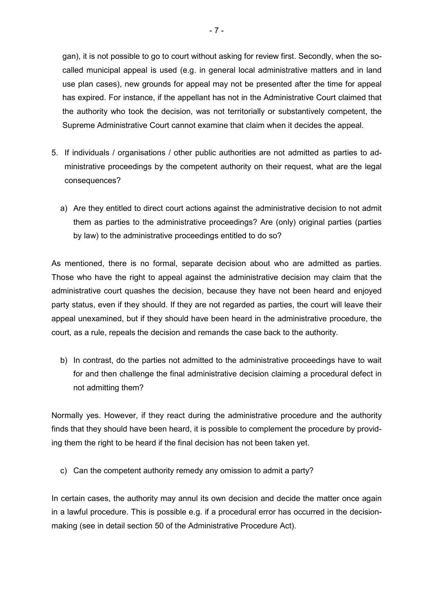gan), it is not possible to go to court without asking for review first. Secondly, when the socalled municipal appeal is used (e.g. in general local administrative matters and in land use plan cases), new grounds for appeal may not be presented after the time for appeal has expired. For instance, if the appellant has not in the Administrative Court claimed that the authority who took the decision, was not territorially or substantively competent, the Supreme Administrative Court cannot examine that claim when it decides the appeal.

- 5. If individuals / organisations / other public authorities are not admitted as parties to administrative proceedings by the competent authority on their request, what are the legal consequences?
	- a) Are they entitled to direct court actions against the administrative decision to not admit them as parties to the administrative proceedings? Are (only) original parties (parties by law) to the administrative proceedings entitled to do so?

As mentioned, there is no formal, separate decision about who are admitted as parties. Those who have the right to appeal against the administrative decision may claim that the administrative court quashes the decision, because they have not been heard and enjoyed party status, even if they should. If they are not regarded as parties, the court will leave their appeal unexamined, but if they should have been heard in the administrative procedure, the court, as a rule, repeals the decision and remands the case back to the authority.

b) In contrast, do the parties not admitted to the administrative proceedings have to wait for and then challenge the final administrative decision claiming a procedural defect in not admitting them?

Normally yes. However, if they react during the administrative procedure and the authority finds that they should have been heard, it is possible to complement the procedure by providing them the right to be heard if the final decision has not been taken yet.

c) Can the competent authority remedy any omission to admit a party?

In certain cases, the authority may annul its own decision and decide the matter once again in a lawful procedure. This is possible e.g. if a procedural error has occurred in the decisionmaking (see in detail section 50 of the Administrative Procedure Act).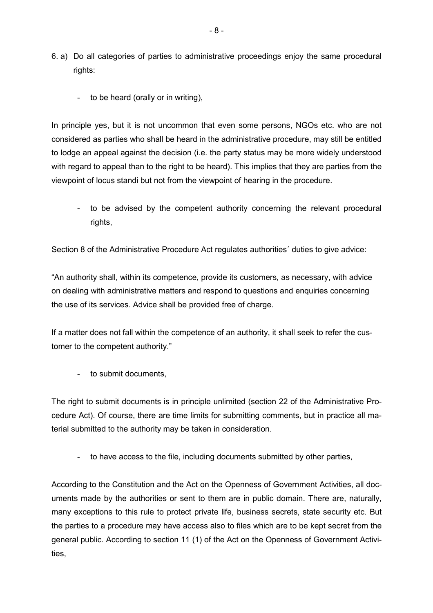- 6. a) Do all categories of parties to administrative proceedings enjoy the same procedural rights:
	- to be heard (orally or in writing),

In principle yes, but it is not uncommon that even some persons, NGOs etc. who are not considered as parties who shall be heard in the administrative procedure, may still be entitled to lodge an appeal against the decision (i.e. the party status may be more widely understood with regard to appeal than to the right to be heard). This implies that they are parties from the viewpoint of locus standi but not from the viewpoint of hearing in the procedure.

- to be advised by the competent authority concerning the relevant procedural rights,

Section 8 of the Administrative Procedure Act regulates authorities´ duties to give advice:

"An authority shall, within its competence, provide its customers, as necessary, with advice on dealing with administrative matters and respond to questions and enquiries concerning the use of its services. Advice shall be provided free of charge.

If a matter does not fall within the competence of an authority, it shall seek to refer the customer to the competent authority."

- to submit documents,

The right to submit documents is in principle unlimited (section 22 of the Administrative Procedure Act). Of course, there are time limits for submitting comments, but in practice all material submitted to the authority may be taken in consideration.

- to have access to the file, including documents submitted by other parties,

According to the Constitution and the Act on the Openness of Government Activities, all documents made by the authorities or sent to them are in public domain. There are, naturally, many exceptions to this rule to protect private life, business secrets, state security etc. But the parties to a procedure may have access also to files which are to be kept secret from the general public. According to section 11 (1) of the Act on the Openness of Government Activities,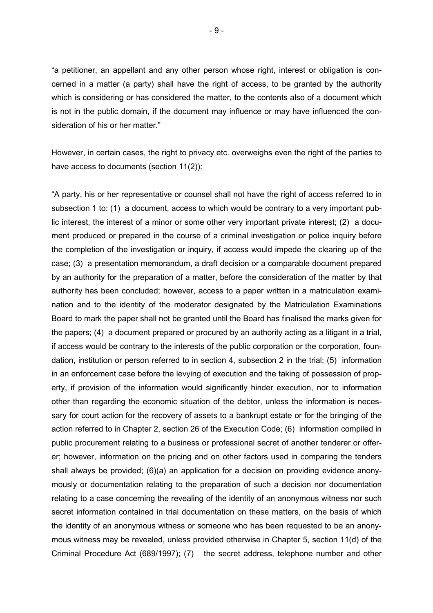"a petitioner, an appellant and any other person whose right, interest or obligation is concerned in a matter (a party) shall have the right of access, to be granted by the authority which is considering or has considered the matter, to the contents also of a document which is not in the public domain, if the document may influence or may have influenced the consideration of his or her matter."

However, in certain cases, the right to privacy etc. overweighs even the right of the parties to have access to documents (section 11(2)):

"A party, his or her representative or counsel shall not have the right of access referred to in subsection 1 to: (1) a document, access to which would be contrary to a very important public interest, the interest of a minor or some other very important private interest; (2) a document produced or prepared in the course of a criminal investigation or police inquiry before the completion of the investigation or inquiry, if access would impede the clearing up of the case; (3) a presentation memorandum, a draft decision or a comparable document prepared by an authority for the preparation of a matter, before the consideration of the matter by that authority has been concluded; however, access to a paper written in a matriculation examination and to the identity of the moderator designated by the Matriculation Examinations Board to mark the paper shall not be granted until the Board has finalised the marks given for the papers; (4) a document prepared or procured by an authority acting as a litigant in a trial, if access would be contrary to the interests of the public corporation or the corporation, foundation, institution or person referred to in section 4, subsection 2 in the trial; (5) information in an enforcement case before the levying of execution and the taking of possession of property, if provision of the information would significantly hinder execution, nor to information other than regarding the economic situation of the debtor, unless the information is necessary for court action for the recovery of assets to a bankrupt estate or for the bringing of the action referred to in Chapter 2, section 26 of the Execution Code; (6) information compiled in public procurement relating to a business or professional secret of another tenderer or offerer; however, information on the pricing and on other factors used in comparing the tenders shall always be provided; (6)(a) an application for a decision on providing evidence anonymously or documentation relating to the preparation of such a decision nor documentation relating to a case concerning the revealing of the identity of an anonymous witness nor such secret information contained in trial documentation on these matters, on the basis of which the identity of an anonymous witness or someone who has been requested to be an anonymous witness may be revealed, unless provided otherwise in Chapter 5, section 11(d) of the Criminal Procedure Act (689/1997); (7) the secret address, telephone number and other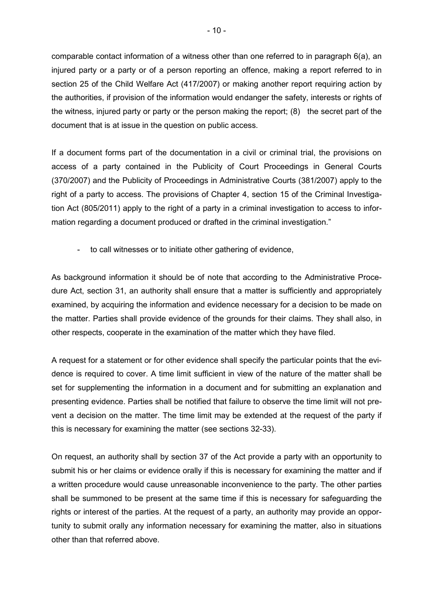comparable contact information of a witness other than one referred to in paragraph 6(a), an injured party or a party or of a person reporting an offence, making a report referred to in section 25 of the Child Welfare Act (417/2007) or making another report requiring action by the authorities, if provision of the information would endanger the safety, interests or rights of the witness, injured party or party or the person making the report; (8) the secret part of the document that is at issue in the question on public access.

If a document forms part of the documentation in a civil or criminal trial, the provisions on access of a party contained in the Publicity of Court Proceedings in General Courts (370/2007) and the Publicity of Proceedings in Administrative Courts (381/2007) apply to the right of a party to access. The provisions of Chapter 4, section 15 of the Criminal Investigation Act (805/2011) apply to the right of a party in a criminal investigation to access to information regarding a document produced or drafted in the criminal investigation."

- to call witnesses or to initiate other gathering of evidence,

As background information it should be of note that according to the Administrative Procedure Act, section 31, an authority shall ensure that a matter is sufficiently and appropriately examined, by acquiring the information and evidence necessary for a decision to be made on the matter. Parties shall provide evidence of the grounds for their claims. They shall also, in other respects, cooperate in the examination of the matter which they have filed.

A request for a statement or for other evidence shall specify the particular points that the evidence is required to cover. A time limit sufficient in view of the nature of the matter shall be set for supplementing the information in a document and for submitting an explanation and presenting evidence. Parties shall be notified that failure to observe the time limit will not prevent a decision on the matter. The time limit may be extended at the request of the party if this is necessary for examining the matter (see sections 32-33).

On request, an authority shall by section 37 of the Act provide a party with an opportunity to submit his or her claims or evidence orally if this is necessary for examining the matter and if a written procedure would cause unreasonable inconvenience to the party. The other parties shall be summoned to be present at the same time if this is necessary for safeguarding the rights or interest of the parties. At the request of a party, an authority may provide an opportunity to submit orally any information necessary for examining the matter, also in situations other than that referred above.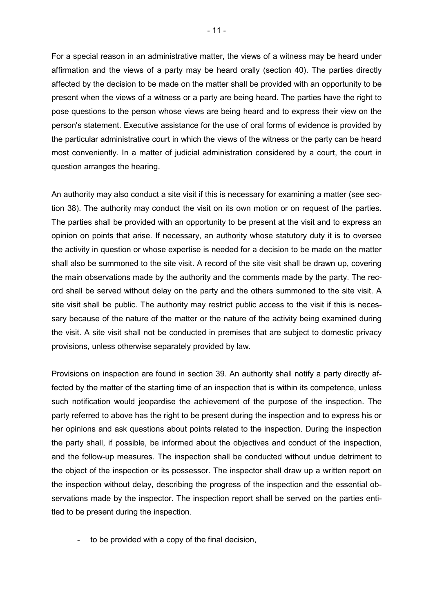For a special reason in an administrative matter, the views of a witness may be heard under affirmation and the views of a party may be heard orally (section 40). The parties directly affected by the decision to be made on the matter shall be provided with an opportunity to be present when the views of a witness or a party are being heard. The parties have the right to pose questions to the person whose views are being heard and to express their view on the person's statement. Executive assistance for the use of oral forms of evidence is provided by the particular administrative court in which the views of the witness or the party can be heard most conveniently. In a matter of judicial administration considered by a court, the court in question arranges the hearing.

An authority may also conduct a site visit if this is necessary for examining a matter (see section 38). The authority may conduct the visit on its own motion or on request of the parties. The parties shall be provided with an opportunity to be present at the visit and to express an opinion on points that arise. If necessary, an authority whose statutory duty it is to oversee the activity in question or whose expertise is needed for a decision to be made on the matter shall also be summoned to the site visit. A record of the site visit shall be drawn up, covering the main observations made by the authority and the comments made by the party. The record shall be served without delay on the party and the others summoned to the site visit. A site visit shall be public. The authority may restrict public access to the visit if this is necessary because of the nature of the matter or the nature of the activity being examined during the visit. A site visit shall not be conducted in premises that are subject to domestic privacy provisions, unless otherwise separately provided by law.

Provisions on inspection are found in section 39. An authority shall notify a party directly affected by the matter of the starting time of an inspection that is within its competence, unless such notification would jeopardise the achievement of the purpose of the inspection. The party referred to above has the right to be present during the inspection and to express his or her opinions and ask questions about points related to the inspection. During the inspection the party shall, if possible, be informed about the objectives and conduct of the inspection, and the follow-up measures. The inspection shall be conducted without undue detriment to the object of the inspection or its possessor. The inspector shall draw up a written report on the inspection without delay, describing the progress of the inspection and the essential observations made by the inspector. The inspection report shall be served on the parties entitled to be present during the inspection.

- to be provided with a copy of the final decision,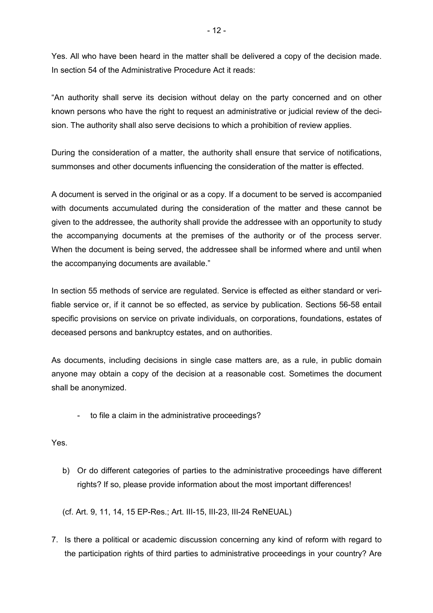Yes. All who have been heard in the matter shall be delivered a copy of the decision made. In section 54 of the Administrative Procedure Act it reads:

"An authority shall serve its decision without delay on the party concerned and on other known persons who have the right to request an administrative or judicial review of the decision. The authority shall also serve decisions to which a prohibition of review applies.

During the consideration of a matter, the authority shall ensure that service of notifications, summonses and other documents influencing the consideration of the matter is effected.

A document is served in the original or as a copy. If a document to be served is accompanied with documents accumulated during the consideration of the matter and these cannot be given to the addressee, the authority shall provide the addressee with an opportunity to study the accompanying documents at the premises of the authority or of the process server. When the document is being served, the addressee shall be informed where and until when the accompanying documents are available."

In section 55 methods of service are regulated. Service is effected as either standard or verifiable service or, if it cannot be so effected, as service by publication. Sections 56-58 entail specific provisions on service on private individuals, on corporations, foundations, estates of deceased persons and bankruptcy estates, and on authorities.

As documents, including decisions in single case matters are, as a rule, in public domain anyone may obtain a copy of the decision at a reasonable cost. Sometimes the document shall be anonymized.

- to file a claim in the administrative proceedings?

Yes.

b) Or do different categories of parties to the administrative proceedings have different rights? If so, please provide information about the most important differences!

(cf. Art. 9, 11, 14, 15 EP-Res.; Art. III-15, III-23, III-24 ReNEUAL)

7. Is there a political or academic discussion concerning any kind of reform with regard to the participation rights of third parties to administrative proceedings in your country? Are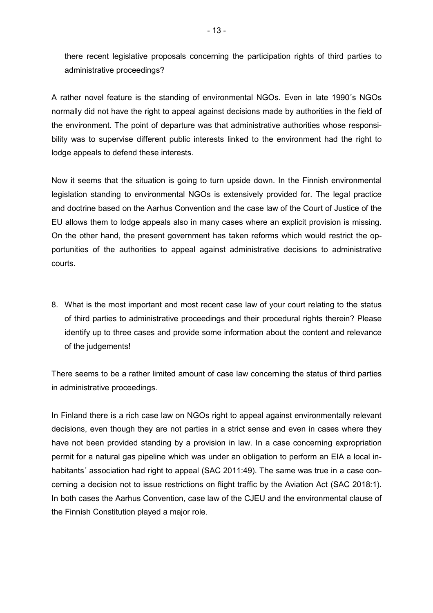there recent legislative proposals concerning the participation rights of third parties to administrative proceedings?

A rather novel feature is the standing of environmental NGOs. Even in late 1990´s NGOs normally did not have the right to appeal against decisions made by authorities in the field of the environment. The point of departure was that administrative authorities whose responsibility was to supervise different public interests linked to the environment had the right to lodge appeals to defend these interests.

Now it seems that the situation is going to turn upside down. In the Finnish environmental legislation standing to environmental NGOs is extensively provided for. The legal practice and doctrine based on the Aarhus Convention and the case law of the Court of Justice of the EU allows them to lodge appeals also in many cases where an explicit provision is missing. On the other hand, the present government has taken reforms which would restrict the opportunities of the authorities to appeal against administrative decisions to administrative courts.

8. What is the most important and most recent case law of your court relating to the status of third parties to administrative proceedings and their procedural rights therein? Please identify up to three cases and provide some information about the content and relevance of the judgements!

There seems to be a rather limited amount of case law concerning the status of third parties in administrative proceedings.

In Finland there is a rich case law on NGOs right to appeal against environmentally relevant decisions, even though they are not parties in a strict sense and even in cases where they have not been provided standing by a provision in law. In a case concerning expropriation permit for a natural gas pipeline which was under an obligation to perform an EIA a local inhabitants<sup>'</sup> association had right to appeal (SAC 2011:49). The same was true in a case concerning a decision not to issue restrictions on flight traffic by the Aviation Act (SAC 2018:1). In both cases the Aarhus Convention, case law of the CJEU and the environmental clause of the Finnish Constitution played a major role.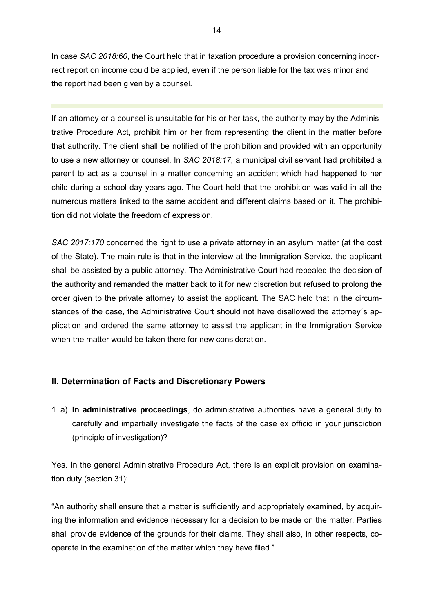In case *SAC 2018:60*, the Court held that in taxation procedure a provision concerning incorrect report on income could be applied, even if the person liable for the tax was minor and the report had been given by a counsel.

If an attorney or a counsel is unsuitable for his or her task, the authority may by the Administrative Procedure Act, prohibit him or her from representing the client in the matter before that authority. The client shall be notified of the prohibition and provided with an opportunity to use a new attorney or counsel. In *SAC 2018:17*, a municipal civil servant had prohibited a parent to act as a counsel in a matter concerning an accident which had happened to her child during a school day years ago. The Court held that the prohibition was valid in all the numerous matters linked to the same accident and different claims based on it. The prohibition did not violate the freedom of expression.

*SAC 2017:170* concerned the right to use a private attorney in an asylum matter (at the cost of the State). The main rule is that in the interview at the Immigration Service, the applicant shall be assisted by a public attorney. The Administrative Court had repealed the decision of the authority and remanded the matter back to it for new discretion but refused to prolong the order given to the private attorney to assist the applicant. The SAC held that in the circumstances of the case, the Administrative Court should not have disallowed the attorney´s application and ordered the same attorney to assist the applicant in the Immigration Service when the matter would be taken there for new consideration.

### **II. Determination of Facts and Discretionary Powers**

1. a) **In administrative proceedings**, do administrative authorities have a general duty to carefully and impartially investigate the facts of the case ex officio in your jurisdiction (principle of investigation)?

Yes. In the general Administrative Procedure Act, there is an explicit provision on examination duty (section 31):

"An authority shall ensure that a matter is sufficiently and appropriately examined, by acquiring the information and evidence necessary for a decision to be made on the matter. Parties shall provide evidence of the grounds for their claims. They shall also, in other respects, cooperate in the examination of the matter which they have filed."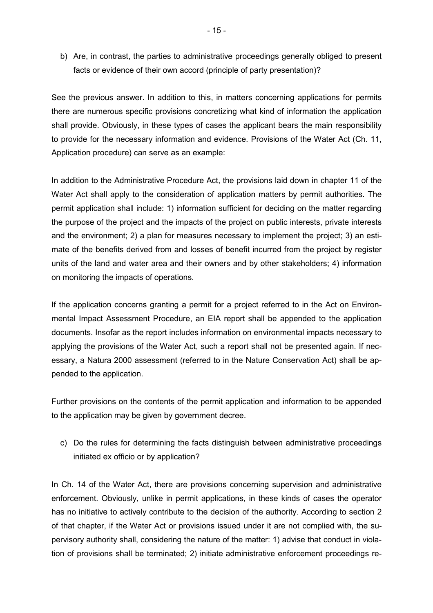b) Are, in contrast, the parties to administrative proceedings generally obliged to present facts or evidence of their own accord (principle of party presentation)?

See the previous answer. In addition to this, in matters concerning applications for permits there are numerous specific provisions concretizing what kind of information the application shall provide. Obviously, in these types of cases the applicant bears the main responsibility to provide for the necessary information and evidence. Provisions of the Water Act (Ch. 11, Application procedure) can serve as an example:

In addition to the Administrative Procedure Act, the provisions laid down in chapter 11 of the Water Act shall apply to the consideration of application matters by permit authorities. The permit application shall include: 1) information sufficient for deciding on the matter regarding the purpose of the project and the impacts of the project on public interests, private interests and the environment; 2) a plan for measures necessary to implement the project; 3) an estimate of the benefits derived from and losses of benefit incurred from the project by register units of the land and water area and their owners and by other stakeholders; 4) information on monitoring the impacts of operations.

If the application concerns granting a permit for a project referred to in the Act on Environmental Impact Assessment Procedure, an EIA report shall be appended to the application documents. Insofar as the report includes information on environmental impacts necessary to applying the provisions of the Water Act, such a report shall not be presented again. If necessary, a Natura 2000 assessment (referred to in the Nature Conservation Act) shall be appended to the application.

Further provisions on the contents of the permit application and information to be appended to the application may be given by government decree.

c) Do the rules for determining the facts distinguish between administrative proceedings initiated ex officio or by application?

In Ch. 14 of the Water Act, there are provisions concerning supervision and administrative enforcement. Obviously, unlike in permit applications, in these kinds of cases the operator has no initiative to actively contribute to the decision of the authority. According to section 2 of that chapter, if the Water Act or provisions issued under it are not complied with, the supervisory authority shall, considering the nature of the matter: 1) advise that conduct in violation of provisions shall be terminated; 2) initiate administrative enforcement proceedings re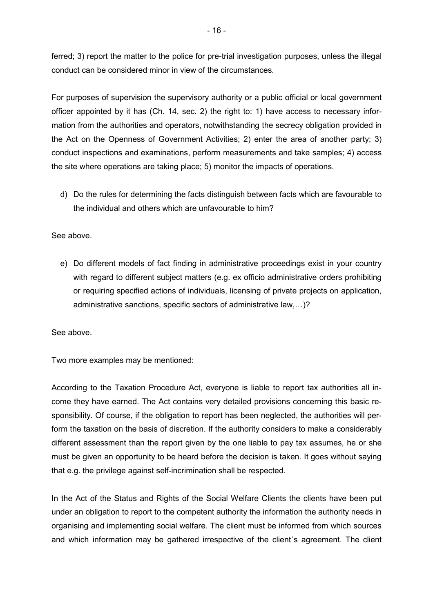ferred; 3) report the matter to the police for pre-trial investigation purposes, unless the illegal conduct can be considered minor in view of the circumstances.

For purposes of supervision the supervisory authority or a public official or local government officer appointed by it has (Ch. 14, sec. 2) the right to: 1) have access to necessary information from the authorities and operators, notwithstanding the secrecy obligation provided in the Act on the Openness of Government Activities; 2) enter the area of another party; 3) conduct inspections and examinations, perform measurements and take samples; 4) access the site where operations are taking place; 5) monitor the impacts of operations.

d) Do the rules for determining the facts distinguish between facts which are favourable to the individual and others which are unfavourable to him?

### See above.

e) Do different models of fact finding in administrative proceedings exist in your country with regard to different subject matters (e.g. ex officio administrative orders prohibiting or requiring specified actions of individuals, licensing of private projects on application, administrative sanctions, specific sectors of administrative law,...)?

See above.

Two more examples may be mentioned:

According to the Taxation Procedure Act, everyone is liable to report tax authorities all income they have earned. The Act contains very detailed provisions concerning this basic responsibility. Of course, if the obligation to report has been neglected, the authorities will perform the taxation on the basis of discretion. If the authority considers to make a considerably different assessment than the report given by the one liable to pay tax assumes, he or she must be given an opportunity to be heard before the decision is taken. It goes without saying that e.g. the privilege against self-incrimination shall be respected.

In the Act of the Status and Rights of the Social Welfare Clients the clients have been put under an obligation to report to the competent authority the information the authority needs in organising and implementing social welfare. The client must be informed from which sources and which information may be gathered irrespective of the client´s agreement. The client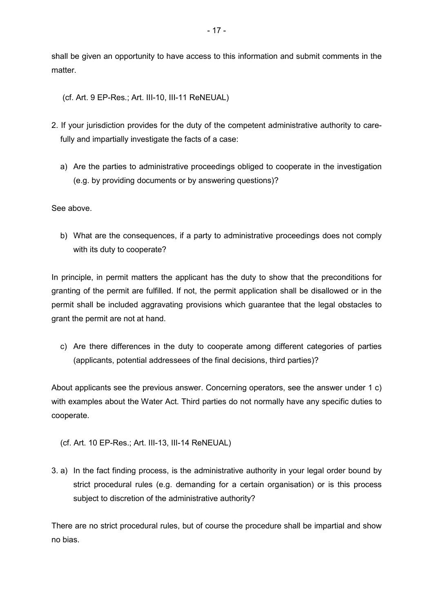shall be given an opportunity to have access to this information and submit comments in the matter.

(cf. Art. 9 EP-Res.; Art. III-10, III-11 ReNEUAL)

- 2. If your jurisdiction provides for the duty of the competent administrative authority to care fully and impartially investigate the facts of a case:
	- a) Are the parties to administrative proceedings obliged to cooperate in the investigation (e.g. by providing documents or by answering questions)?

See above.

b) What are the consequences, if a party to administrative proceedings does not comply with its duty to cooperate?

In principle, in permit matters the applicant has the duty to show that the preconditions for granting of the permit are fulfilled. If not, the permit application shall be disallowed or in the permit shall be included aggravating provisions which guarantee that the legal obstacles to grant the permit are not at hand.

c) Are there differences in the duty to cooperate among different categories of parties (applicants, potential addressees of the final decisions, third parties)?

About applicants see the previous answer. Concerning operators, see the answer under 1 c) with examples about the Water Act. Third parties do not normally have any specific duties to cooperate.

- (cf. Art. 10 EP-Res.; Art. III-13, III-14 ReNEUAL)
- 3. a) In the fact finding process, is the administrative authority in your legal order bound by strict procedural rules (e.g. demanding for a certain organisation) or is this process subject to discretion of the administrative authority?

There are no strict procedural rules, but of course the procedure shall be impartial and show no bias.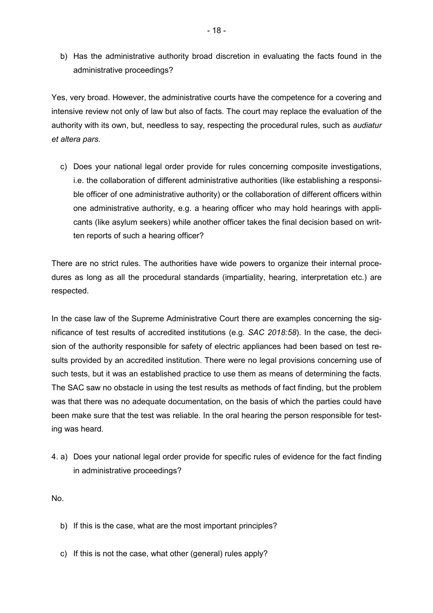b) Has the administrative authority broad discretion in evaluating the facts found in the administrative proceedings?

Yes, very broad. However, the administrative courts have the competence for a covering and intensive review not only of law but also of facts. The court may replace the evaluation of the authority with its own, but, needless to say, respecting the procedural rules, such as *audiatur et altera pars*.

c) Does your national legal order provide for rules concerning composite investigations, i.e. the collaboration of different administrative authorities (like establishing a responsible officer of one administrative authority) or the collaboration of different officers within one administrative authority, e.g. a hearing officer who may hold hearings with applicants (like asylum seekers) while another officer takes the final decision based on written reports of such a hearing officer?

There are no strict rules. The authorities have wide powers to organize their internal procedures as long as all the procedural standards (impartiality, hearing, interpretation etc.) are respected.

In the case law of the Supreme Administrative Court there are examples concerning the significance of test results of accredited institutions (e.g. *SAC 2018:58*). In the case, the decision of the authority responsible for safety of electric appliances had been based on test results provided by an accredited institution. There were no legal provisions concerning use of such tests, but it was an established practice to use them as means of determining the facts. The SAC saw no obstacle in using the test results as methods of fact finding, but the problem was that there was no adequate documentation, on the basis of which the parties could have been make sure that the test was reliable. In the oral hearing the person responsible for testing was heard.

4. a) Does your national legal order provide for specific rules of evidence for the fact finding in administrative proceedings?

No.

- b) If this is the case, what are the most important principles?
- c) If this is not the case, what other (general) rules apply?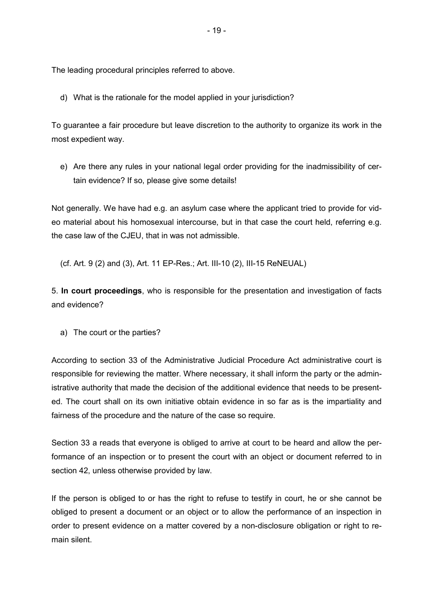The leading procedural principles referred to above.

d) What is the rationale for the model applied in your jurisdiction?

To guarantee a fair procedure but leave discretion to the authority to organize its work in the most expedient way.

e) Are there any rules in your national legal order providing for the inadmissibility of certain evidence? If so, please give some details!

Not generally. We have had e.g. an asylum case where the applicant tried to provide for video material about his homosexual intercourse, but in that case the court held, referring e.g. the case law of the CJEU, that in was not admissible.

(cf. Art. 9 (2) and (3), Art. 11 EP-Res.; Art. III-10 (2), III-15 ReNEUAL)

5. **In court proceedings**, who is responsible for the presentation and investigation of facts and evidence?

a) The court or the parties?

According to section 33 of the Administrative Judicial Procedure Act administrative court is responsible for reviewing the matter. Where necessary, it shall inform the party or the administrative authority that made the decision of the additional evidence that needs to be presented. The court shall on its own initiative obtain evidence in so far as is the impartiality and fairness of the procedure and the nature of the case so require.

Section 33 a reads that everyone is obliged to arrive at court to be heard and allow the performance of an inspection or to present the court with an object or document referred to in section 42, unless otherwise provided by law.

If the person is obliged to or has the right to refuse to testify in court, he or she cannot be obliged to present a document or an object or to allow the performance of an inspection in order to present evidence on a matter covered by a non-disclosure obligation or right to remain silent.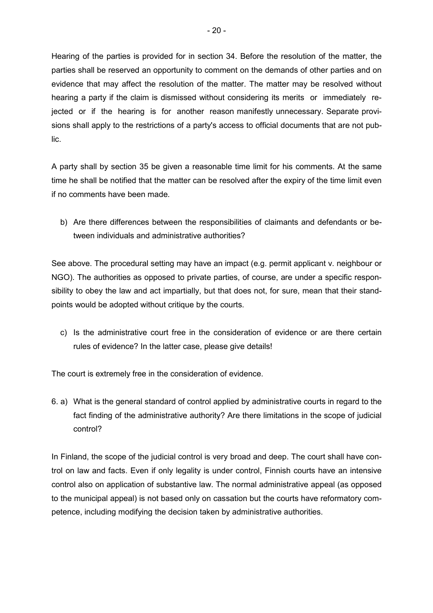Hearing of the parties is provided for in section 34. Before the resolution of the matter, the parties shall be reserved an opportunity to comment on the demands of other parties and on evidence that may affect the resolution of the matter. The matter may be resolved without hearing a party if the claim is dismissed without considering its merits or immediately rejected or if the hearing is for another reason manifestly unnecessary. Separate provisions shall apply to the restrictions of a party's access to official documents that are not public.

A party shall by section 35 be given a reasonable time limit for his comments. At the same time he shall be notified that the matter can be resolved after the expiry of the time limit even if no comments have been made.

b) Are there differences between the responsibilities of claimants and defendants or between individuals and administrative authorities?

See above. The procedural setting may have an impact (e.g. permit applicant v. neighbour or NGO). The authorities as opposed to private parties, of course, are under a specific responsibility to obey the law and act impartially, but that does not, for sure, mean that their standpoints would be adopted without critique by the courts.

c) Is the administrative court free in the consideration of evidence or are there certain rules of evidence? In the latter case, please give details!

The court is extremely free in the consideration of evidence.

6. a) What is the general standard of control applied by administrative courts in regard to the fact finding of the administrative authority? Are there limitations in the scope of judicial control?

In Finland, the scope of the judicial control is very broad and deep. The court shall have control on law and facts. Even if only legality is under control, Finnish courts have an intensive control also on application of substantive law. The normal administrative appeal (as opposed to the municipal appeal) is not based only on cassation but the courts have reformatory competence, including modifying the decision taken by administrative authorities.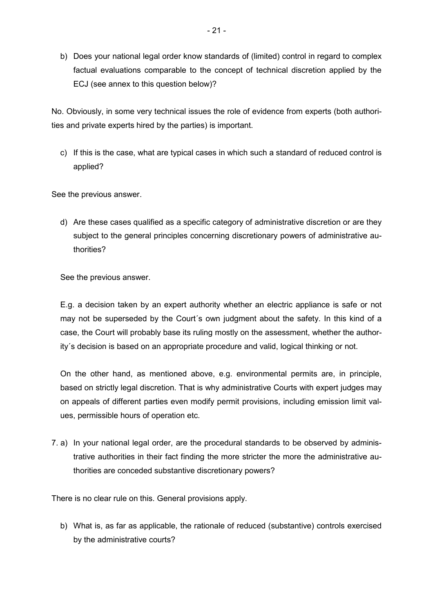b) Does your national legal order know standards of (limited) control in regard to complex factual evaluations comparable to the concept of technical discretion applied by the ECJ (see annex to this question below)?

No. Obviously, in some very technical issues the role of evidence from experts (both authorities and private experts hired by the parties) is important.

c) If this is the case, what are typical cases in which such a standard of reduced control is applied?

See the previous answer.

d) Are these cases qualified as a specific category of administrative discretion or are they subject to the general principles concerning discretionary powers of administrative authorities?

See the previous answer.

E.g. a decision taken by an expert authority whether an electric appliance is safe or not may not be superseded by the Court´s own judgment about the safety. In this kind of a case, the Court will probably base its ruling mostly on the assessment, whether the authority´s decision is based on an appropriate procedure and valid, logical thinking or not.

On the other hand, as mentioned above, e.g. environmental permits are, in principle, based on strictly legal discretion. That is why administrative Courts with expert judges may on appeals of different parties even modify permit provisions, including emission limit values, permissible hours of operation etc.

7. a) In your national legal order, are the procedural standards to be observed by administrative authorities in their fact finding the more stricter the more the administrative authorities are conceded substantive discretionary powers?

There is no clear rule on this. General provisions apply.

b) What is, as far as applicable, the rationale of reduced (substantive) controls exercised by the administrative courts?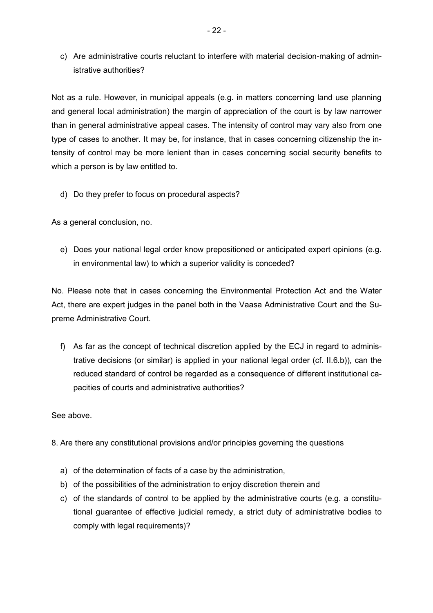c) Are administrative courts reluctant to interfere with material decision-making of administrative authorities?

Not as a rule. However, in municipal appeals (e.g. in matters concerning land use planning and general local administration) the margin of appreciation of the court is by law narrower than in general administrative appeal cases. The intensity of control may vary also from one type of cases to another. It may be, for instance, that in cases concerning citizenship the intensity of control may be more lenient than in cases concerning social security benefits to which a person is by law entitled to.

d) Do they prefer to focus on procedural aspects?

As a general conclusion, no.

e) Does your national legal order know prepositioned or anticipated expert opinions (e.g. in environmental law) to which a superior validity is conceded?

No. Please note that in cases concerning the Environmental Protection Act and the Water Act, there are expert judges in the panel both in the Vaasa Administrative Court and the Supreme Administrative Court.

f) As far as the concept of technical discretion applied by the ECJ in regard to administrative decisions (or similar) is applied in your national legal order (cf. II.6.b)), can the reduced standard of control be regarded as a consequence of different institutional capacities of courts and administrative authorities?

See above.

- 8. Are there any constitutional provisions and/or principles governing the questions
	- a) of the determination of facts of a case by the administration,
	- b) of the possibilities of the administration to enjoy discretion therein and
	- c) of the standards of control to be applied by the administrative courts (e.g. a constitutional guarantee of effective judicial remedy, a strict duty of administrative bodies to comply with legal requirements)?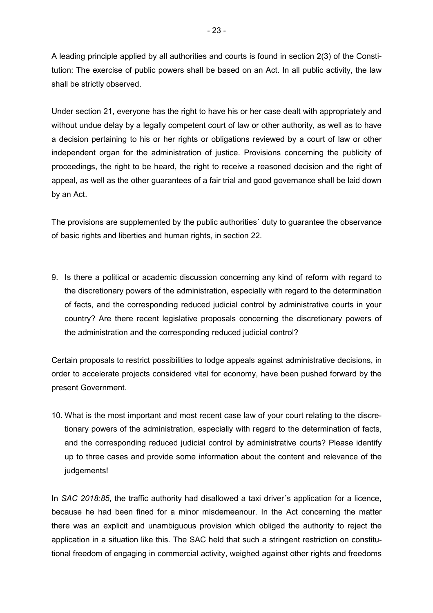A leading principle applied by all authorities and courts is found in section 2(3) of the Constitution: The exercise of public powers shall be based on an Act. In all public activity, the law shall be strictly observed.

Under section 21, everyone has the right to have his or her case dealt with appropriately and without undue delay by a legally competent court of law or other authority, as well as to have a decision pertaining to his or her rights or obligations reviewed by a court of law or other independent organ for the administration of justice. Provisions concerning the publicity of proceedings, the right to be heard, the right to receive a reasoned decision and the right of appeal, as well as the other guarantees of a fair trial and good governance shall be laid down by an Act.

The provisions are supplemented by the public authorities´ duty to guarantee the observance of basic rights and liberties and human rights, in section 22.

9. Is there a political or academic discussion concerning any kind of reform with regard to the discretionary powers of the administration, especially with regard to the determination of facts, and the corresponding reduced judicial control by administrative courts in your country? Are there recent legislative proposals concerning the discretionary powers of the administration and the corresponding reduced judicial control?

Certain proposals to restrict possibilities to lodge appeals against administrative decisions, in order to accelerate projects considered vital for economy, have been pushed forward by the present Government.

10. What is the most important and most recent case law of your court relating to the discretionary powers of the administration, especially with regard to the determination of facts, and the corresponding reduced judicial control by administrative courts? Please identify up to three cases and provide some information about the content and relevance of the judgements!

In *SAC 2018:85*, the traffic authority had disallowed a taxi driver´s application for a licence, because he had been fined for a minor misdemeanour. In the Act concerning the matter there was an explicit and unambiguous provision which obliged the authority to reject the application in a situation like this. The SAC held that such a stringent restriction on constitutional freedom of engaging in commercial activity, weighed against other rights and freedoms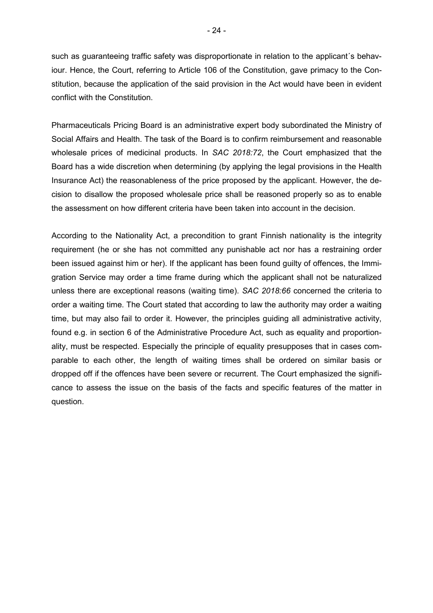such as guaranteeing traffic safety was disproportionate in relation to the applicant´s behaviour. Hence, the Court, referring to Article 106 of the Constitution, gave primacy to the Constitution, because the application of the said provision in the Act would have been in evident conflict with the Constitution.

Pharmaceuticals Pricing Board is an administrative expert body subordinated the Ministry of Social Affairs and Health. The task of the Board is to confirm reimbursement and reasonable wholesale prices of medicinal products. In *SAC 2018:72*, the Court emphasized that the Board has a wide discretion when determining (by applying the legal provisions in the Health Insurance Act) the reasonableness of the price proposed by the applicant. However, the decision to disallow the proposed wholesale price shall be reasoned properly so as to enable the assessment on how different criteria have been taken into account in the decision.

According to the Nationality Act, a precondition to grant Finnish nationality is the integrity requirement (he or she has not committed any punishable act nor has a restraining order been issued against him or her). If the applicant has been found guilty of offences, the Immigration Service may order a time frame during which the applicant shall not be naturalized unless there are exceptional reasons (waiting time). *SAC 2018:66* concerned the criteria to order a waiting time. The Court stated that according to law the authority may order a waiting time, but may also fail to order it. However, the principles guiding all administrative activity, found e.g. in section 6 of the Administrative Procedure Act, such as equality and proportionality, must be respected. Especially the principle of equality presupposes that in cases comparable to each other, the length of waiting times shall be ordered on similar basis or dropped off if the offences have been severe or recurrent. The Court emphasized the significance to assess the issue on the basis of the facts and specific features of the matter in question.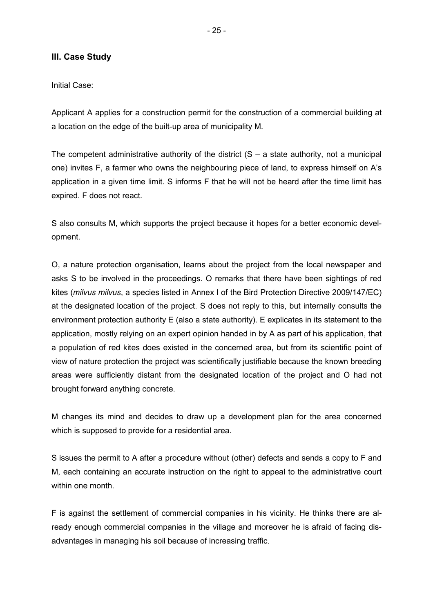### **III. Case Study**

Initial Case:

Applicant A applies for a construction permit for the construction of a commercial building at a location on the edge of the built-up area of municipality M.

The competent administrative authority of the district  $(S - a)$  state authority, not a municipal one) invites F, a farmer who owns the neighbouring piece of land, to express himself on A's application in a given time limit. S informs F that he will not be heard after the time limit has expired. F does not react.

S also consults M, which supports the project because it hopes for a better economic development.

O, a nature protection organisation, learns about the project from the local newspaper and asks S to be involved in the proceedings. O remarks that there have been sightings of red kites (*milvus milvus*, a species listed in Annex I of the Bird Protection Directive 2009/147/EC) at the designated location of the project. S does not reply to this, but internally consults the environment protection authority E (also a state authority). E explicates in its statement to the application, mostly relying on an expert opinion handed in by A as part of his application, that a population of red kites does existed in the concerned area, but from its scientific point of view of nature protection the project was scientifically justifiable because the known breeding areas were sufficiently distant from the designated location of the project and O had not brought forward anything concrete.

M changes its mind and decides to draw up a development plan for the area concerned which is supposed to provide for a residential area.

S issues the permit to A after a procedure without (other) defects and sends a copy to F and M, each containing an accurate instruction on the right to appeal to the administrative court within one month.

F is against the settlement of commercial companies in his vicinity. He thinks there are already enough commercial companies in the village and moreover he is afraid of facing disadvantages in managing his soil because of increasing traffic.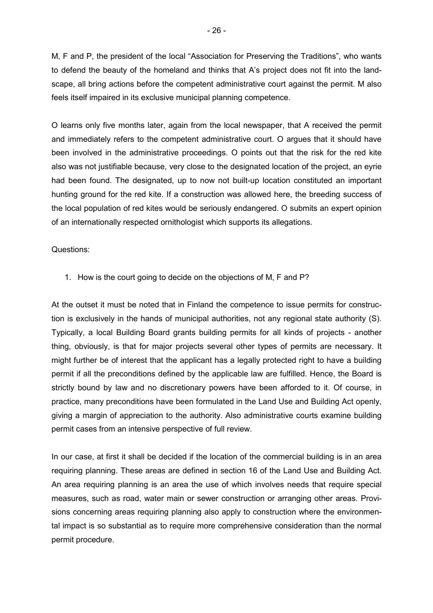M, F and P, the president of the local "Association for Preserving the Traditions", who wants to defend the beauty of the homeland and thinks that A's project does not fit into the landscape, all bring actions before the competent administrative court against the permit. M also feels itself impaired in its exclusive municipal planning competence.

O learns only five months later, again from the local newspaper, that A received the permit and immediately refers to the competent administrative court. O argues that it should have been involved in the administrative proceedings. O points out that the risk for the red kite also was not justifiable because, very close to the designated location of the project, an eyrie had been found. The designated, up to now not built-up location constituted an important hunting ground for the red kite. If a construction was allowed here, the breeding success of the local population of red kites would be seriously endangered. O submits an expert opinion of an internationally respected ornithologist which supports its allegations.

#### Questions:

1. How is the court going to decide on the objections of M, F and P?

At the outset it must be noted that in Finland the competence to issue permits for construction is exclusively in the hands of municipal authorities, not any regional state authority (S). Typically, a local Building Board grants building permits for all kinds of projects - another thing, obviously, is that for major projects several other types of permits are necessary. It might further be of interest that the applicant has a legally protected right to have a building permit if all the preconditions defined by the applicable law are fulfilled. Hence, the Board is strictly bound by law and no discretionary powers have been afforded to it. Of course, in practice, many preconditions have been formulated in the Land Use and Building Act openly, giving a margin of appreciation to the authority. Also administrative courts examine building permit cases from an intensive perspective of full review.

In our case, at first it shall be decided if the location of the commercial building is in an area requiring planning. These areas are defined in section 16 of the Land Use and Building Act. An area requiring planning is an area the use of which involves needs that require special measures, such as road, water main or sewer construction or arranging other areas. Provisions concerning areas requiring planning also apply to construction where the environmental impact is so substantial as to require more comprehensive consideration than the normal permit procedure.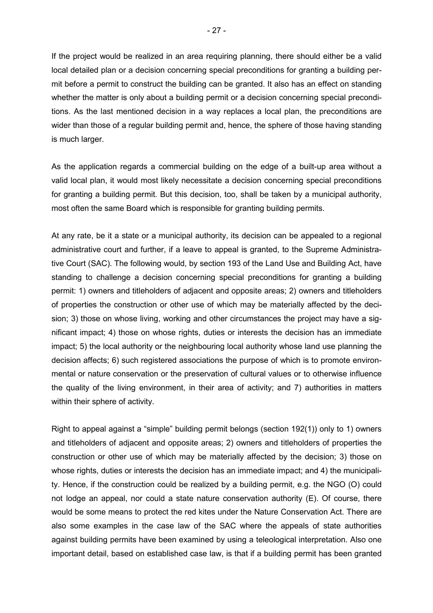If the project would be realized in an area requiring planning, there should either be a valid local detailed plan or a decision concerning special preconditions for granting a building permit before a permit to construct the building can be granted. It also has an effect on standing whether the matter is only about a building permit or a decision concerning special preconditions. As the last mentioned decision in a way replaces a local plan, the preconditions are wider than those of a regular building permit and, hence, the sphere of those having standing is much larger.

As the application regards a commercial building on the edge of a built-up area without a valid local plan, it would most likely necessitate a decision concerning special preconditions for granting a building permit. But this decision, too, shall be taken by a municipal authority, most often the same Board which is responsible for granting building permits.

At any rate, be it a state or a municipal authority, its decision can be appealed to a regional administrative court and further, if a leave to appeal is granted, to the Supreme Administrative Court (SAC). The following would, by section 193 of the Land Use and Building Act, have standing to challenge a decision concerning special preconditions for granting a building permit: 1) owners and titleholders of adjacent and opposite areas; 2) owners and titleholders of properties the construction or other use of which may be materially affected by the decision; 3) those on whose living, working and other circumstances the project may have a significant impact; 4) those on whose rights, duties or interests the decision has an immediate impact; 5) the local authority or the neighbouring local authority whose land use planning the decision affects; 6) such registered associations the purpose of which is to promote environmental or nature conservation or the preservation of cultural values or to otherwise influence the quality of the living environment, in their area of activity; and 7) authorities in matters within their sphere of activity.

Right to appeal against a "simple" building permit belongs (section 192(1)) only to 1) owners and titleholders of adjacent and opposite areas; 2) owners and titleholders of properties the construction or other use of which may be materially affected by the decision; 3) those on whose rights, duties or interests the decision has an immediate impact; and 4) the municipality. Hence, if the construction could be realized by a building permit, e.g. the NGO (O) could not lodge an appeal, nor could a state nature conservation authority (E). Of course, there would be some means to protect the red kites under the Nature Conservation Act. There are also some examples in the case law of the SAC where the appeals of state authorities against building permits have been examined by using a teleological interpretation. Also one important detail, based on established case law, is that if a building permit has been granted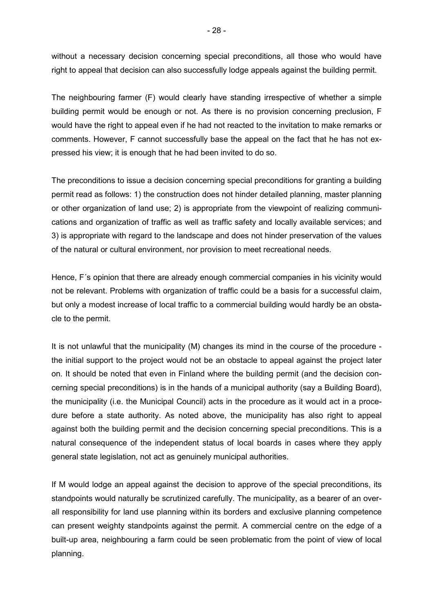without a necessary decision concerning special preconditions, all those who would have right to appeal that decision can also successfully lodge appeals against the building permit.

The neighbouring farmer (F) would clearly have standing irrespective of whether a simple building permit would be enough or not. As there is no provision concerning preclusion, F would have the right to appeal even if he had not reacted to the invitation to make remarks or comments. However, F cannot successfully base the appeal on the fact that he has not expressed his view; it is enough that he had been invited to do so.

The preconditions to issue a decision concerning special preconditions for granting a building permit read as follows: 1) the construction does not hinder detailed planning, master planning or other organization of land use; 2) is appropriate from the viewpoint of realizing communications and organization of traffic as well as traffic safety and locally available services; and 3) is appropriate with regard to the landscape and does not hinder preservation of the values of the natural or cultural environment, nor provision to meet recreational needs.

Hence, F´s opinion that there are already enough commercial companies in his vicinity would not be relevant. Problems with organization of traffic could be a basis for a successful claim, but only a modest increase of local traffic to a commercial building would hardly be an obstacle to the permit.

It is not unlawful that the municipality (M) changes its mind in the course of the procedure the initial support to the project would not be an obstacle to appeal against the project later on. It should be noted that even in Finland where the building permit (and the decision concerning special preconditions) is in the hands of a municipal authority (say a Building Board), the municipality (i.e. the Municipal Council) acts in the procedure as it would act in a procedure before a state authority. As noted above, the municipality has also right to appeal against both the building permit and the decision concerning special preconditions. This is a natural consequence of the independent status of local boards in cases where they apply general state legislation, not act as genuinely municipal authorities.

If M would lodge an appeal against the decision to approve of the special preconditions, its standpoints would naturally be scrutinized carefully. The municipality, as a bearer of an overall responsibility for land use planning within its borders and exclusive planning competence can present weighty standpoints against the permit. A commercial centre on the edge of a built-up area, neighbouring a farm could be seen problematic from the point of view of local planning.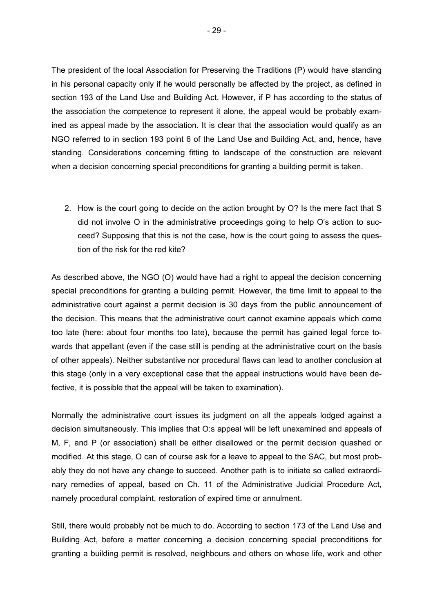The president of the local Association for Preserving the Traditions (P) would have standing in his personal capacity only if he would personally be affected by the project, as defined in section 193 of the Land Use and Building Act. However, if P has according to the status of the association the competence to represent it alone, the appeal would be probably examined as appeal made by the association. It is clear that the association would qualify as an NGO referred to in section 193 point 6 of the Land Use and Building Act, and, hence, have standing. Considerations concerning fitting to landscape of the construction are relevant when a decision concerning special preconditions for granting a building permit is taken.

2. How is the court going to decide on the action brought by O? Is the mere fact that S did not involve O in the administrative proceedings going to help O's action to succeed? Supposing that this is not the case, how is the court going to assess the question of the risk for the red kite?

As described above, the NGO (O) would have had a right to appeal the decision concerning special preconditions for granting a building permit. However, the time limit to appeal to the administrative court against a permit decision is 30 days from the public announcement of the decision. This means that the administrative court cannot examine appeals which come too late (here: about four months too late), because the permit has gained legal force towards that appellant (even if the case still is pending at the administrative court on the basis of other appeals). Neither substantive nor procedural flaws can lead to another conclusion at this stage (only in a very exceptional case that the appeal instructions would have been defective, it is possible that the appeal will be taken to examination).

Normally the administrative court issues its judgment on all the appeals lodged against a decision simultaneously. This implies that O:s appeal will be left unexamined and appeals of M, F, and P (or association) shall be either disallowed or the permit decision quashed or modified. At this stage, O can of course ask for a leave to appeal to the SAC, but most probably they do not have any change to succeed. Another path is to initiate so called extraordinary remedies of appeal, based on Ch. 11 of the Administrative Judicial Procedure Act, namely procedural complaint, restoration of expired time or annulment.

Still, there would probably not be much to do. According to section 173 of the Land Use and Building Act, before a matter concerning a decision concerning special preconditions for granting a building permit is resolved, neighbours and others on whose life, work and other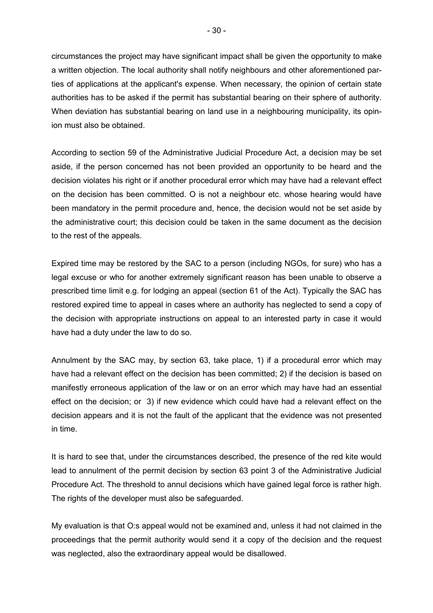circumstances the project may have significant impact shall be given the opportunity to make a written objection. The local authority shall notify neighbours and other aforementioned parties of applications at the applicant's expense. When necessary, the opinion of certain state authorities has to be asked if the permit has substantial bearing on their sphere of authority. When deviation has substantial bearing on land use in a neighbouring municipality, its opinion must also be obtained.

According to section 59 of the Administrative Judicial Procedure Act, a decision may be set aside, if the person concerned has not been provided an opportunity to be heard and the decision violates his right or if another procedural error which may have had a relevant effect on the decision has been committed. O is not a neighbour etc. whose hearing would have been mandatory in the permit procedure and, hence, the decision would not be set aside by the administrative court; this decision could be taken in the same document as the decision to the rest of the appeals.

Expired time may be restored by the SAC to a person (including NGOs, for sure) who has a legal excuse or who for another extremely significant reason has been unable to observe a prescribed time limit e.g. for lodging an appeal (section 61 of the Act). Typically the SAC has restored expired time to appeal in cases where an authority has neglected to send a copy of the decision with appropriate instructions on appeal to an interested party in case it would have had a duty under the law to do so.

Annulment by the SAC may, by section 63, take place, 1) if a procedural error which may have had a relevant effect on the decision has been committed; 2) if the decision is based on manifestly erroneous application of the law or on an error which may have had an essential effect on the decision; or 3) if new evidence which could have had a relevant effect on the decision appears and it is not the fault of the applicant that the evidence was not presented in time.

It is hard to see that, under the circumstances described, the presence of the red kite would lead to annulment of the permit decision by section 63 point 3 of the Administrative Judicial Procedure Act. The threshold to annul decisions which have gained legal force is rather high. The rights of the developer must also be safeguarded.

My evaluation is that O:s appeal would not be examined and, unless it had not claimed in the proceedings that the permit authority would send it a copy of the decision and the request was neglected, also the extraordinary appeal would be disallowed.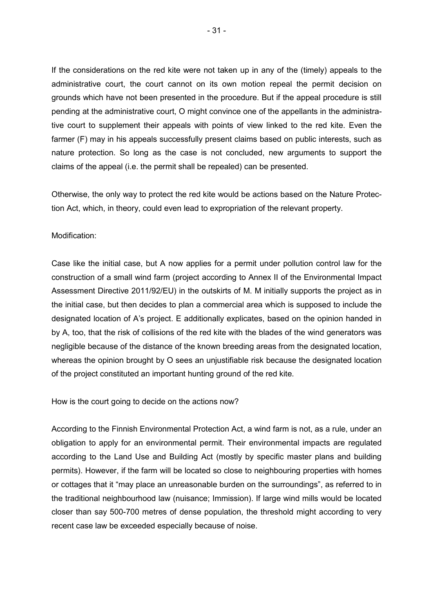If the considerations on the red kite were not taken up in any of the (timely) appeals to the administrative court, the court cannot on its own motion repeal the permit decision on grounds which have not been presented in the procedure. But if the appeal procedure is still pending at the administrative court, O might convince one of the appellants in the administrative court to supplement their appeals with points of view linked to the red kite. Even the farmer (F) may in his appeals successfully present claims based on public interests, such as nature protection. So long as the case is not concluded, new arguments to support the claims of the appeal (i.e. the permit shall be repealed) can be presented.

Otherwise, the only way to protect the red kite would be actions based on the Nature Protection Act, which, in theory, could even lead to expropriation of the relevant property.

#### Modification:

Case like the initial case, but A now applies for a permit under pollution control law for the construction of a small wind farm (project according to Annex II of the Environmental Impact Assessment Directive 2011/92/EU) in the outskirts of M. M initially supports the project as in the initial case, but then decides to plan a commercial area which is supposed to include the designated location of A's project. E additionally explicates, based on the opinion handed in by A, too, that the risk of collisions of the red kite with the blades of the wind generators was negligible because of the distance of the known breeding areas from the designated location, whereas the opinion brought by O sees an unjustifiable risk because the designated location of the project constituted an important hunting ground of the red kite.

How is the court going to decide on the actions now?

According to the Finnish Environmental Protection Act, a wind farm is not, as a rule, under an obligation to apply for an environmental permit. Their environmental impacts are regulated according to the Land Use and Building Act (mostly by specific master plans and building permits). However, if the farm will be located so close to neighbouring properties with homes or cottages that it "may place an unreasonable burden on the surroundings", as referred to in the traditional neighbourhood law (nuisance; Immission). If large wind mills would be located closer than say 500-700 metres of dense population, the threshold might according to very recent case law be exceeded especially because of noise.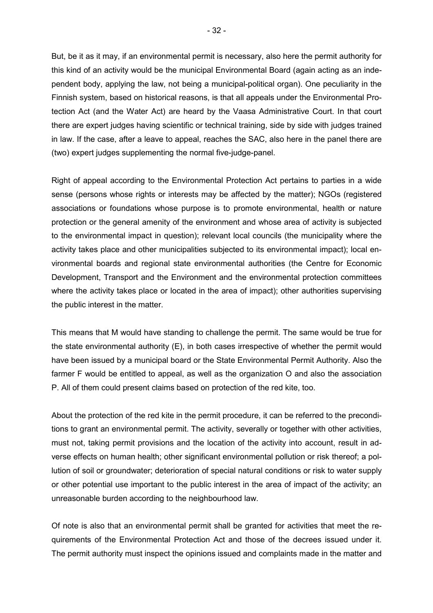But, be it as it may, if an environmental permit is necessary, also here the permit authority for this kind of an activity would be the municipal Environmental Board (again acting as an independent body, applying the law, not being a municipal-political organ). One peculiarity in the Finnish system, based on historical reasons, is that all appeals under the Environmental Protection Act (and the Water Act) are heard by the Vaasa Administrative Court. In that court there are expert judges having scientific or technical training, side by side with judges trained in law. If the case, after a leave to appeal, reaches the SAC, also here in the panel there are (two) expert judges supplementing the normal five-judge-panel.

Right of appeal according to the Environmental Protection Act pertains to parties in a wide sense (persons whose rights or interests may be affected by the matter); NGOs (registered associations or foundations whose purpose is to promote environmental, health or nature protection or the general amenity of the environment and whose area of activity is subjected to the environmental impact in question); relevant local councils (the municipality where the activity takes place and other municipalities subjected to its environmental impact); local environmental boards and regional state environmental authorities (the Centre for Economic Development, Transport and the Environment and the environmental protection committees where the activity takes place or located in the area of impact); other authorities supervising the public interest in the matter.

This means that M would have standing to challenge the permit. The same would be true for the state environmental authority (E), in both cases irrespective of whether the permit would have been issued by a municipal board or the State Environmental Permit Authority. Also the farmer F would be entitled to appeal, as well as the organization O and also the association P. All of them could present claims based on protection of the red kite, too.

About the protection of the red kite in the permit procedure, it can be referred to the preconditions to grant an environmental permit. The activity, severally or together with other activities, must not, taking permit provisions and the location of the activity into account, result in adverse effects on human health; other significant environmental pollution or risk thereof; a pollution of soil or groundwater; deterioration of special natural conditions or risk to water supply or other potential use important to the public interest in the area of impact of the activity; an unreasonable burden according to the neighbourhood law.

Of note is also that an environmental permit shall be granted for activities that meet the requirements of the Environmental Protection Act and those of the decrees issued under it. The permit authority must inspect the opinions issued and complaints made in the matter and